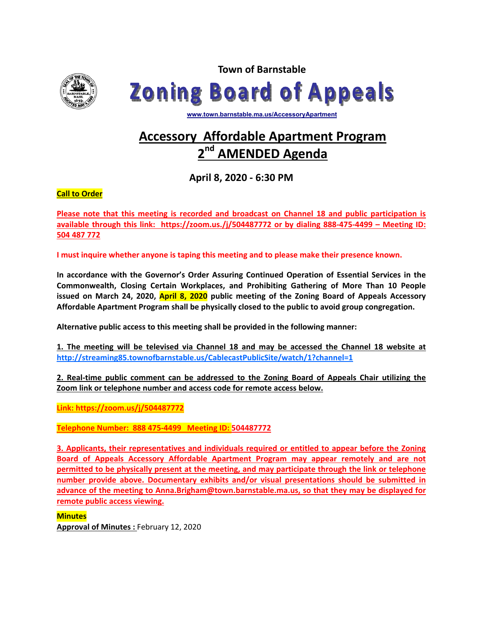

**Town of Barnstable Zoning Board of Appeals** 

**www.town.barnstable.ma.us/AccessoryApartment**

# **Accessory Affordable Apartment Program AMENDED Agenda**

**April 8, 2020 ‐ 6:30 PM** 

**Call to Order** 

**Please note that this meeting is recorded and broadcast on Channel 18 and public participation is available through this link: https://zoom.us./j/504487772 or by dialing 888‐475‐4499 – Meeting ID: 504 487 772** 

**I must inquire whether anyone is taping this meeting and to please make their presence known.** 

**In accordance with the Governor's Order Assuring Continued Operation of Essential Services in the Commonwealth, Closing Certain Workplaces, and Prohibiting Gathering of More Than 10 People issued on March 24, 2020, April 8, 2020 public meeting of the Zoning Board of Appeals Accessory Affordable Apartment Program shall be physically closed to the public to avoid group congregation.** 

**Alternative public access to this meeting shall be provided in the following manner:** 

**1. The meeting will be televised via Channel 18 and may be accessed the Channel 18 website at http://streaming85.townofbarnstable.us/CablecastPublicSite/watch/1?channel=1** 

**2. Real‐time public comment can be addressed to the Zoning Board of Appeals Chair utilizing the Zoom link or telephone number and access code for remote access below.** 

**Link: https://zoom.us/j/504487772** 

**Telephone Number: 888 475‐4499 Meeting ID: 504487772** 

**3. Applicants, their representatives and individuals required or entitled to appear before the Zoning Board of Appeals Accessory Affordable Apartment Program may appear remotely and are not permitted to be physically present at the meeting, and may participate through the link or telephone number provide above. Documentary exhibits and/or visual presentations should be submitted in advance of the meeting to Anna.Brigham@town.barnstable.ma.us, so that they may be displayed for remote public access viewing.** 

## **Minutes**

**Approval of Minutes :** February 12, 2020